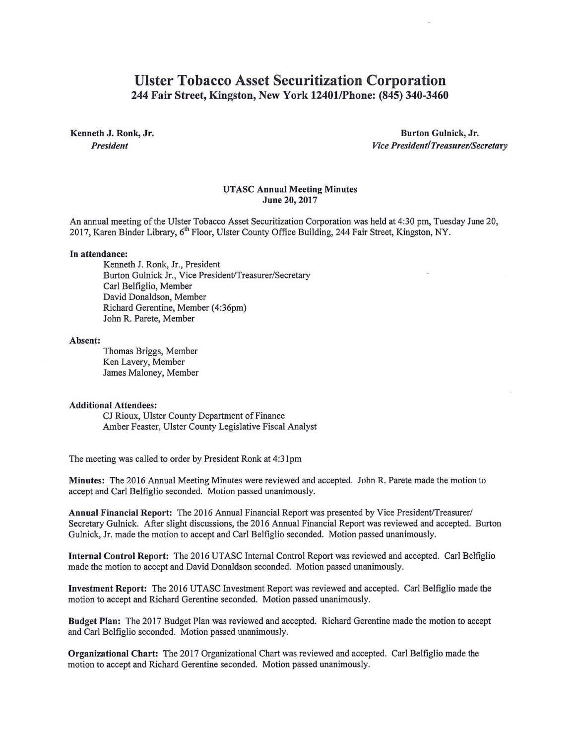# **Ulster Tobacco** Asset **Securitization Corporation**  244 Fair Street, Kingston, New York 12401/Phone: (845) 340-3460

Kenneth J. Ronk, Jr. *President* 

Burton Gulnick, Jr. *Vice President/Treasurer/Secretary* 

## UTASC Annual Meeting Minutes June 20, 2017

An annual meeting of the Ulster Tobacco Asset Securitization Corporation was held at 4:30 pm, Tuesday June 20, 2017, Karen Binder Library, 6<sup>th</sup> Floor, Ulster County Office Building, 244 Fair Street, Kingston, NY.

### In attendance:

Kenneth J. Ronk, Jr., President Burton Gulnick Jr., Vice President/Treasurer/Secretary Carl Belfiglio, Member David Donaldson, Member Richard Gerentine, Member (4:36pm) John R. Parete, Member

#### Absent:

Thomas Briggs, Member Ken Lavery, Member James Maloney, Member

#### Additional Attendees:

CJ Rioux, Ulster County Department of Finance Amber Feaster, Ulster County Legislative Fiscal Analyst

The meeting was called to order by President Ronk at 4:31 pm

Minutes: The 2016 Annual Meeting Minutes were reviewed and accepted. John R. Parete made the motion to accept and Carl Belfiglio seconded. Motion passed unanimously.

Annual Financial Report: The 2016 Annual Financial Report was presented by Vice President/Treasurer/ Secretary Gulnick. After slight discussions, the 2016 Annual Financial Report was reviewed and accepted. Burton Gulnick, Jr. made the motion to accept and Carl Belfiglio seconded. Motion passed unanimously.

Internal Control Report: The 2016 UTASC Internal Control Report was reviewed and accepted. Carl Belfiglio made the motion to accept and David Donaldson seconded. Motion passed unanimously.

Investment Report: The 2016 UTASC Investment Report was reviewed and accepted. Carl Belfiglio made the motion to accept and Richard Gerentine seconded. Motion passed unanimously.

Budget Plan: The 2017 Budget Plan was reviewed and accepted. Richard Gerentine made the motion to accept and Carl Belfiglio seconded. Motion passed unanimously.

Organizational Chart: The 2017 Organizational Chart was reviewed and accepted. Carl Belfiglio made the motion to accept and Richard Gerentine seconded. Motion passed unanimously.